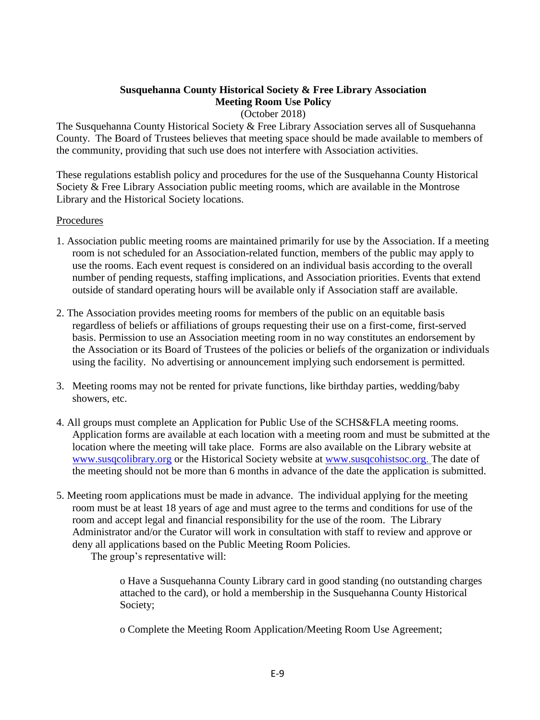#### **Susquehanna County Historical Society & Free Library Association Meeting Room Use Policy** (October 2018)

The Susquehanna County Historical Society & Free Library Association serves all of Susquehanna County. The Board of Trustees believes that meeting space should be made available to members of the community, providing that such use does not interfere with Association activities.

These regulations establish policy and procedures for the use of the Susquehanna County Historical Society & Free Library Association public meeting rooms, which are available in the Montrose Library and the Historical Society locations.

## Procedures

- 1. Association public meeting rooms are maintained primarily for use by the Association. If a meeting room is not scheduled for an Association-related function, members of the public may apply to use the rooms. Each event request is considered on an individual basis according to the overall number of pending requests, staffing implications, and Association priorities. Events that extend outside of standard operating hours will be available only if Association staff are available.
- 2. The Association provides meeting rooms for members of the public on an equitable basis regardless of beliefs or affiliations of groups requesting their use on a first-come, first-served basis. Permission to use an Association meeting room in no way constitutes an endorsement by the Association or its Board of Trustees of the policies or beliefs of the organization or individuals using the facility. No advertising or announcement implying such endorsement is permitted.
- 3. Meeting rooms may not be rented for private functions, like birthday parties, wedding/baby showers, etc.
- 4. All groups must complete an Application for Public Use of the SCHS&FLA meeting rooms. Application forms are available at each location with a meeting room and must be submitted at the location where the meeting will take place. Forms are also available on the Library website at [www.susqcolibrary.org](http://www.susqcolibrary.org/) or the Historical Society website at [www.susqcohistsoc.org.](http://www.susqcohistsoc.org/) The date of the meeting should not be more than 6 months in advance of the date the application is submitted.
- 5. Meeting room applications must be made in advance. The individual applying for the meeting room must be at least 18 years of age and must agree to the terms and conditions for use of the room and accept legal and financial responsibility for the use of the room. The Library Administrator and/or the Curator will work in consultation with staff to review and approve or deny all applications based on the Public Meeting Room Policies.

The group's representative will:

o Have a Susquehanna County Library card in good standing (no outstanding charges attached to the card), or hold a membership in the Susquehanna County Historical Society;

o Complete the Meeting Room Application/Meeting Room Use Agreement;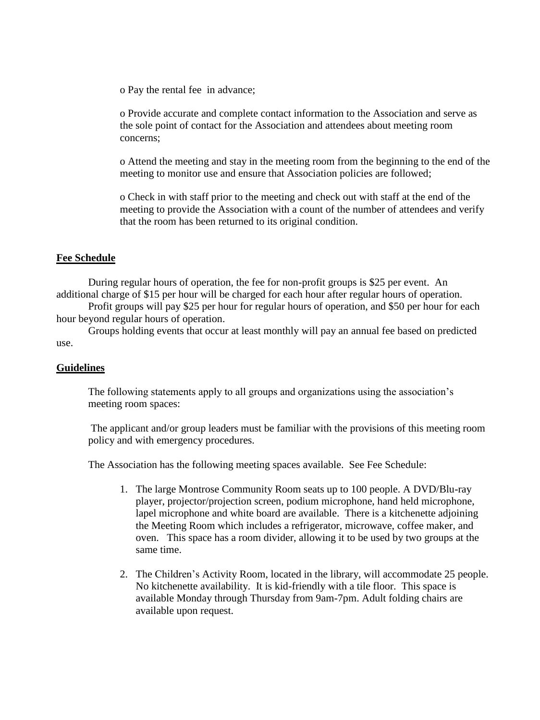o Pay the rental fee in advance;

o Provide accurate and complete contact information to the Association and serve as the sole point of contact for the Association and attendees about meeting room concerns;

o Attend the meeting and stay in the meeting room from the beginning to the end of the meeting to monitor use and ensure that Association policies are followed;

o Check in with staff prior to the meeting and check out with staff at the end of the meeting to provide the Association with a count of the number of attendees and verify that the room has been returned to its original condition.

## **Fee Schedule**

During regular hours of operation, the fee for non-profit groups is \$25 per event. An additional charge of \$15 per hour will be charged for each hour after regular hours of operation.

Profit groups will pay \$25 per hour for regular hours of operation, and \$50 per hour for each hour beyond regular hours of operation.

Groups holding events that occur at least monthly will pay an annual fee based on predicted use.

#### **Guidelines**

The following statements apply to all groups and organizations using the association's meeting room spaces:

The applicant and/or group leaders must be familiar with the provisions of this meeting room policy and with emergency procedures.

The Association has the following meeting spaces available. See Fee Schedule:

- 1. The large Montrose Community Room seats up to 100 people. A DVD/Blu-ray player, projector/projection screen, podium microphone, hand held microphone, lapel microphone and white board are available. There is a kitchenette adjoining the Meeting Room which includes a refrigerator, microwave, coffee maker, and oven. This space has a room divider, allowing it to be used by two groups at the same time.
- 2. The Children's Activity Room, located in the library, will accommodate 25 people. No kitchenette availability. It is kid-friendly with a tile floor. This space is available Monday through Thursday from 9am-7pm. Adult folding chairs are available upon request.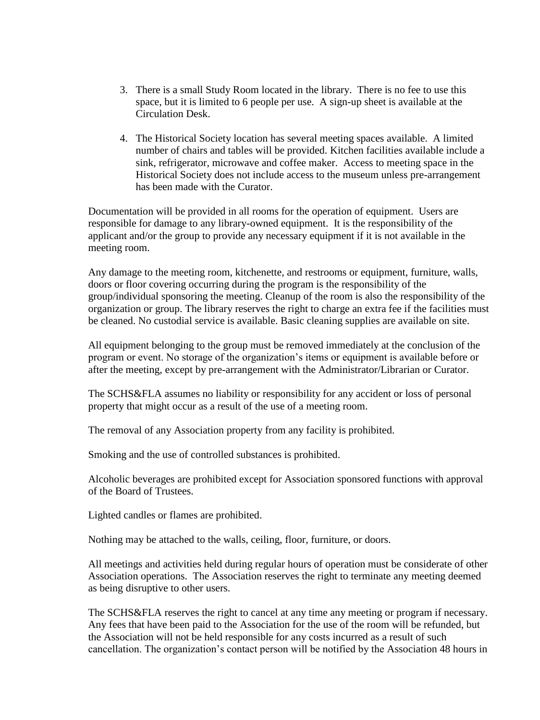- 3. There is a small Study Room located in the library. There is no fee to use this space, but it is limited to 6 people per use. A sign-up sheet is available at the Circulation Desk.
- 4. The Historical Society location has several meeting spaces available. A limited number of chairs and tables will be provided. Kitchen facilities available include a sink, refrigerator, microwave and coffee maker. Access to meeting space in the Historical Society does not include access to the museum unless pre-arrangement has been made with the Curator.

Documentation will be provided in all rooms for the operation of equipment. Users are responsible for damage to any library-owned equipment. It is the responsibility of the applicant and/or the group to provide any necessary equipment if it is not available in the meeting room.

Any damage to the meeting room, kitchenette, and restrooms or equipment, furniture, walls, doors or floor covering occurring during the program is the responsibility of the group/individual sponsoring the meeting. Cleanup of the room is also the responsibility of the organization or group. The library reserves the right to charge an extra fee if the facilities must be cleaned. No custodial service is available. Basic cleaning supplies are available on site.

All equipment belonging to the group must be removed immediately at the conclusion of the program or event. No storage of the organization's items or equipment is available before or after the meeting, except by pre-arrangement with the Administrator/Librarian or Curator.

The SCHS&FLA assumes no liability or responsibility for any accident or loss of personal property that might occur as a result of the use of a meeting room.

The removal of any Association property from any facility is prohibited.

Smoking and the use of controlled substances is prohibited.

Alcoholic beverages are prohibited except for Association sponsored functions with approval of the Board of Trustees.

Lighted candles or flames are prohibited.

Nothing may be attached to the walls, ceiling, floor, furniture, or doors.

All meetings and activities held during regular hours of operation must be considerate of other Association operations. The Association reserves the right to terminate any meeting deemed as being disruptive to other users.

 The SCHS&FLA reserves the right to cancel at any time any meeting or program if necessary. Any fees that have been paid to the Association for the use of the room will be refunded, but the Association will not be held responsible for any costs incurred as a result of such cancellation. The organization's contact person will be notified by the Association 48 hours in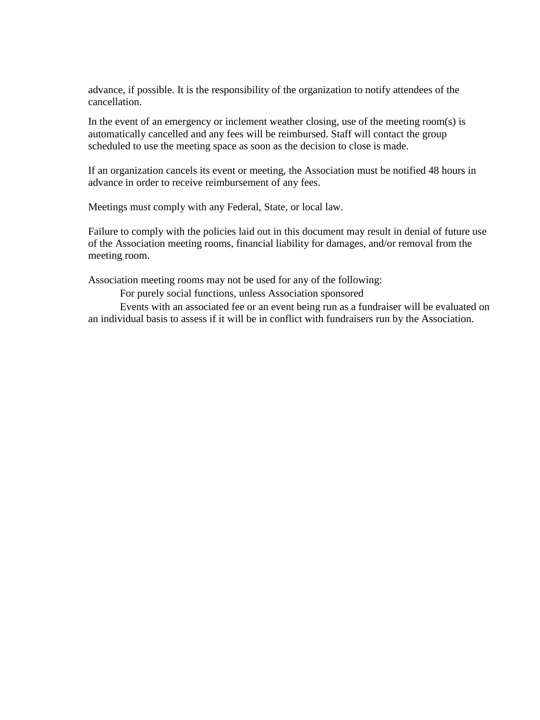advance, if possible. It is the responsibility of the organization to notify attendees of the cancellation.

 In the event of an emergency or inclement weather closing, use of the meeting room(s) is automatically cancelled and any fees will be reimbursed. Staff will contact the group scheduled to use the meeting space as soon as the decision to close is made.

 If an organization cancels its event or meeting, the Association must be notified 48 hours in advance in order to receive reimbursement of any fees.

Meetings must comply with any Federal, State, or local law.

 Failure to comply with the policies laid out in this document may result in denial of future use of the Association meeting rooms, financial liability for damages, and/or removal from the meeting room.

Association meeting rooms may not be used for any of the following:

For purely social functions, unless Association sponsored

Events with an associated fee or an event being run as a fundraiser will be evaluated on an individual basis to assess if it will be in conflict with fundraisers run by the Association.